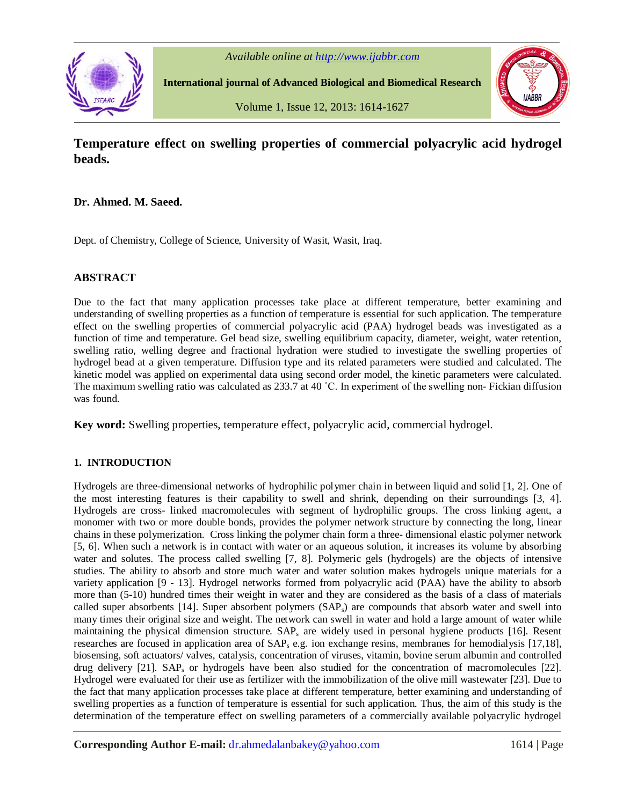

*Available online at http://www.ijabbr.com*

**International journal of Advanced Biological and Biomedical Research**

Volume 1, Issue 12, 2013: 1614-1627



# **Temperature effect on swelling properties of commercial polyacrylic acid hydrogel beads.**

## **Dr. Ahmed. M. Saeed.**

Dept. of Chemistry, College of Science, University of Wasit, Wasit, Iraq.

## **ABSTRACT**

Due to the fact that many application processes take place at different temperature, better examining and understanding of swelling properties as a function of temperature is essential for such application. The temperature effect on the swelling properties of commercial polyacrylic acid (PAA) hydrogel beads was investigated as a function of time and temperature. Gel bead size, swelling equilibrium capacity, diameter, weight, water retention, swelling ratio, welling degree and fractional hydration were studied to investigate the swelling properties of hydrogel bead at a given temperature. Diffusion type and its related parameters were studied and calculated. The kinetic model was applied on experimental data using second order model, the kinetic parameters were calculated. The maximum swelling ratio was calculated as 233.7 at 40 ˚C. In experiment of the swelling non- Fickian diffusion was found.

**Key word:** Swelling properties, temperature effect, polyacrylic acid, commercial hydrogel.

## **1. INTRODUCTION**

Hydrogels are three-dimensional networks of hydrophilic polymer chain in between liquid and solid [1, 2]. One of the most interesting features is their capability to swell and shrink, depending on their surroundings [3, 4]. Hydrogels are cross- linked macromolecules with segment of hydrophilic groups. The cross linking agent, a monomer with two or more double bonds, provides the polymer network structure by connecting the long, linear chains in these polymerization. Cross linking the polymer chain form a three- dimensional elastic polymer network [5, 6]. When such a network is in contact with water or an aqueous solution, it increases its volume by absorbing water and solutes. The process called swelling [7, 8]. Polymeric gels (hydrogels) are the objects of intensive studies. The ability to absorb and store much water and water solution makes hydrogels unique materials for a variety application [9 - 13]. Hydrogel networks formed from polyacrylic acid (PAA) have the ability to absorb more than (5-10) hundred times their weight in water and they are considered as the basis of a class of materials called super absorbents [14]. Super absorbent polymers (SAPs) are compounds that absorb water and swell into many times their original size and weight. The network can swell in water and hold a large amount of water while maintaining the physical dimension structure.  $SAP_s$  are widely used in personal hygiene products [16]. Resent researches are focused in application area of SAP<sup>s</sup> e.g. ion exchange resins, membranes for hemodialysis [17,18], biosensing, soft actuators/ valves, catalysis, concentration of viruses, vitamin, bovine serum albumin and controlled drug delivery [21]. SAP<sub>s</sub> or hydrogels have been also studied for the concentration of macromolecules [22]. Hydrogel were evaluated for their use as fertilizer with the immobilization of the olive mill wastewater [23]. Due to the fact that many application processes take place at different temperature, better examining and understanding of swelling properties as a function of temperature is essential for such application. Thus, the aim of this study is the determination of the temperature effect on swelling parameters of a commercially available polyacrylic hydrogel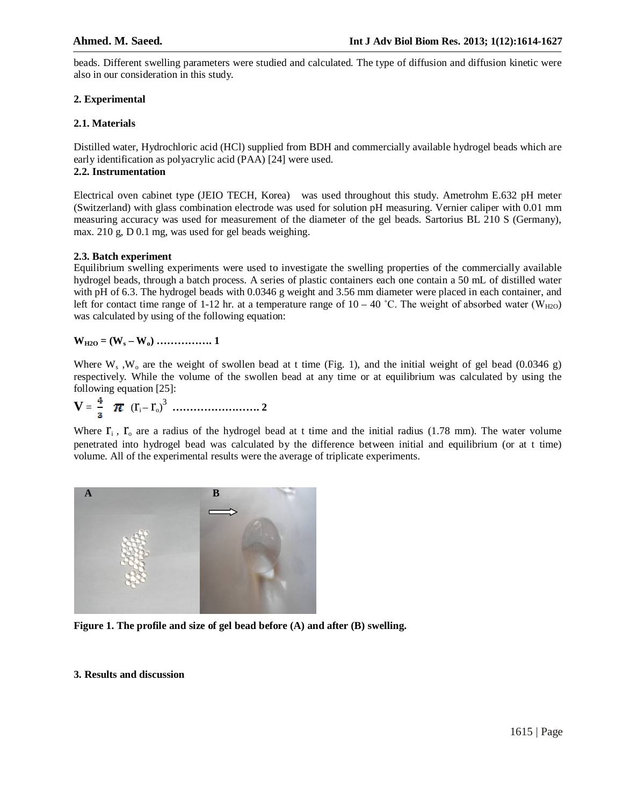beads. Different swelling parameters were studied and calculated. The type of diffusion and diffusion kinetic were also in our consideration in this study.

## **2. Experimental**

## **2.1. Materials**

Distilled water, Hydrochloric acid (HCl) supplied from BDH and commercially available hydrogel beads which are early identification as polyacrylic acid (PAA) [24] were used.

## **2.2. Instrumentation**

Electrical oven cabinet type (JEIO TECH, Korea) was used throughout this study. Ametrohm E.632 pH meter (Switzerland) with glass combination electrode was used for solution pH measuring. Vernier caliper with 0.01 mm measuring accuracy was used for measurement of the diameter of the gel beads. Sartorius BL 210 S (Germany), max. 210 g, D 0.1 mg, was used for gel beads weighing.

## **2.3. Batch experiment**

Equilibrium swelling experiments were used to investigate the swelling properties of the commercially available hydrogel beads, through a batch process. A series of plastic containers each one contain a 50 mL of distilled water with pH of 6.3. The hydrogel beads with 0.0346 g weight and 3.56 mm diameter were placed in each container, and left for contact time range of 1-12 hr. at a temperature range of  $10 - 40$  °C. The weight of absorbed water (W<sub>H2O</sub>) was calculated by using of the following equation:

## **WH2O = (W<sup>s</sup> – Wo) ……………. 1**

Where  $W_s$ ,  $W_o$  are the weight of swollen bead at t time (Fig. 1), and the initial weight of gel bead (0.0346 g) respectively. While the volume of the swollen bead at any time or at equilibrium was calculated by using the following equation [25]:

$$
V = \frac{4}{3} \pi (r_i - r_o)^3 \dots \dots \dots \dots \dots \dots \dots \dots 2
$$

Where  $\mathbf{r}_i$ ,  $\mathbf{r}_o$  are a radius of the hydrogel bead at t time and the initial radius (1.78 mm). The water volume penetrated into hydrogel bead was calculated by the difference between initial and equilibrium (or at t time) volume. All of the experimental results were the average of triplicate experiments.



**Figure 1. The profile and size of gel bead before (A) and after (B) swelling.**

## **3. Results and discussion**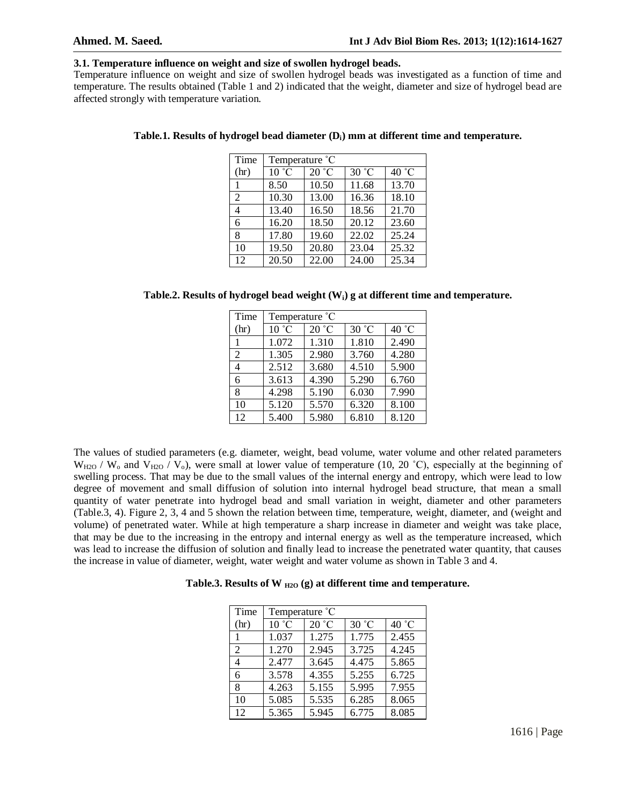#### **3.1. Temperature influence on weight and size of swollen hydrogel beads.**

Temperature influence on weight and size of swollen hydrogel beads was investigated as a function of time and temperature. The results obtained (Table 1 and 2) indicated that the weight, diameter and size of hydrogel bead are affected strongly with temperature variation.

| Time | Temperature °C |       |       |       |  |
|------|----------------|-------|-------|-------|--|
| (hr) | 10 °C          | 20 °C | 30 °C | 40 °C |  |
|      | 8.50           | 10.50 | 11.68 | 13.70 |  |
| 2    | 10.30          | 13.00 | 16.36 | 18.10 |  |
| 4    | 13.40          | 16.50 | 18.56 | 21.70 |  |
| 6    | 16.20          | 18.50 | 20.12 | 23.60 |  |
| 8    | 17.80          | 19.60 | 22.02 | 25.24 |  |
| 10   | 19.50          | 20.80 | 23.04 | 25.32 |  |
| 12   | 20.50          | 22.00 | 24.00 | 25.34 |  |

#### **Table.1. Results of hydrogel bead diameter (Di) mm at different time and temperature.**

**Table.2. Results of hydrogel bead weight (Wi) g at different time and temperature.**

| Time           | Temperature °C |       |       |                 |  |
|----------------|----------------|-------|-------|-----------------|--|
| (hr)           | 10 °C          | 20 °C | 30 °C | 40 $^{\circ}$ C |  |
|                | 1.072          | 1.310 | 1.810 | 2.490           |  |
| $\overline{2}$ | 1.305          | 2.980 | 3.760 | 4.280           |  |
| 4              | 2.512          | 3.680 | 4.510 | 5.900           |  |
| 6              | 3.613          | 4.390 | 5.290 | 6.760           |  |
| 8              | 4.298          | 5.190 | 6.030 | 7.990           |  |
| 10             | 5.120          | 5.570 | 6.320 | 8.100           |  |
| 12             | 5.400          | 5.980 | 6.810 | 8.120           |  |

The values of studied parameters (e.g. diameter, weight, bead volume, water volume and other related parameters  $W_{H2O}$  /  $W_0$  and  $V_{H2O}$  /  $V_0$ ), were small at lower value of temperature (10, 20 °C), especially at the beginning of swelling process. That may be due to the small values of the internal energy and entropy, which were lead to low degree of movement and small diffusion of solution into internal hydrogel bead structure, that mean a small quantity of water penetrate into hydrogel bead and small variation in weight, diameter and other parameters (Table.3, 4). Figure 2, 3, 4 and 5 shown the relation between time, temperature, weight, diameter, and (weight and volume) of penetrated water. While at high temperature a sharp increase in diameter and weight was take place, that may be due to the increasing in the entropy and internal energy as well as the temperature increased, which was lead to increase the diffusion of solution and finally lead to increase the penetrated water quantity, that causes the increase in value of diameter, weight, water weight and water volume as shown in Table 3 and 4.

**Table.3. Results of W H2O (g) at different time and temperature.**

| Time           | Temperature °C |       |       |       |  |
|----------------|----------------|-------|-------|-------|--|
| (hr)           | 10 °C          | 20 °C | 30 °C | 40 °C |  |
|                | 1.037          | 1.275 | 1.775 | 2.455 |  |
| $\overline{c}$ | 1.270          | 2.945 | 3.725 | 4.245 |  |
| 4              | 2.477          | 3.645 | 4.475 | 5.865 |  |
| 6              | 3.578          | 4.355 | 5.255 | 6.725 |  |
| 8              | 4.263          | 5.155 | 5.995 | 7.955 |  |
| 10             | 5.085          | 5.535 | 6.285 | 8.065 |  |
| 12             | 5.365          | 5.945 | 6.775 | 8.085 |  |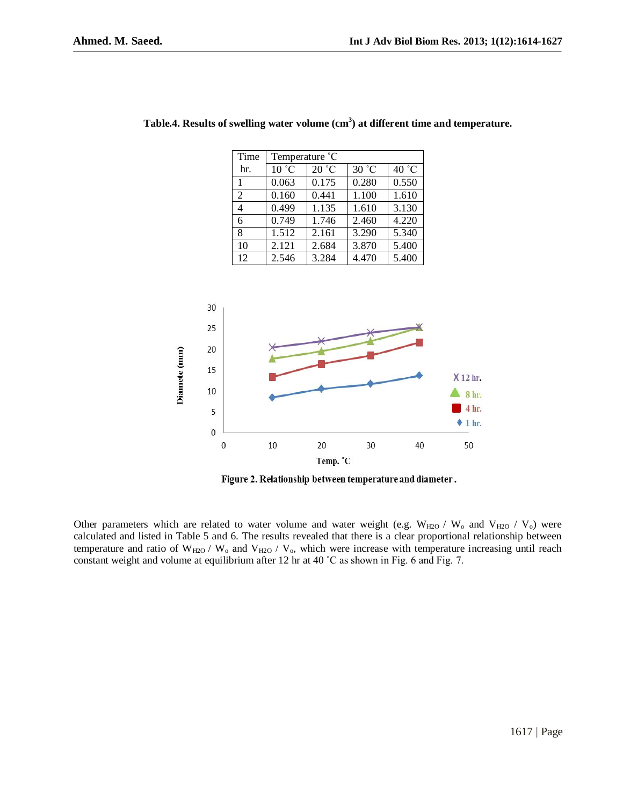| Time           | Temperature °C |       |       |       |  |
|----------------|----------------|-------|-------|-------|--|
| hr.            | 10 °C          | 20 °C | 30 °C | 40 °C |  |
| $\mathbf{1}$   | 0.063          | 0.175 | 0.280 | 0.550 |  |
| $\overline{2}$ | 0.160          | 0.441 | 1.100 | 1.610 |  |
| 4              | 0.499          | 1.135 | 1.610 | 3.130 |  |
| 6              | 0.749          | 1.746 | 2.460 | 4.220 |  |
| 8              | 1.512          | 2.161 | 3.290 | 5.340 |  |
| 10             | 2.121          | 2.684 | 3.870 | 5.400 |  |
| 12             | 2.546          | 3.284 | 4.470 | 5.400 |  |





Figure 2. Relationship between temperature and diameter.

Other parameters which are related to water volume and water weight (e.g.  $W_{H2O}$  /  $W_o$  and  $V_{H2O}$  /  $V_o$ ) were calculated and listed in Table 5 and 6. The results revealed that there is a clear proportional relationship between temperature and ratio of  $W_{H2O}$  /  $W_o$  and  $V_{H2O}$  /  $V_o$ , which were increase with temperature increasing until reach constant weight and volume at equilibrium after 12 hr at 40 ˚C as shown in Fig. 6 and Fig. 7.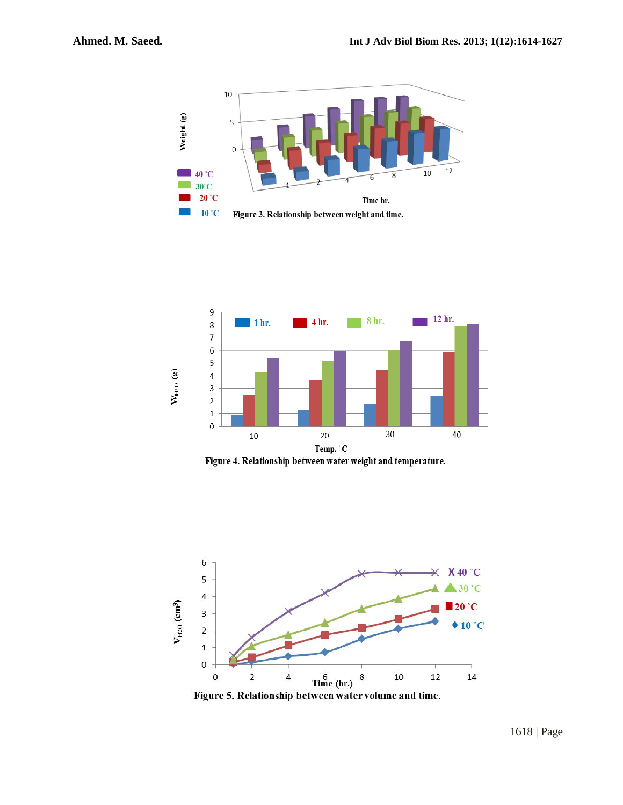



Figure 4. Relationship between water weight and temperature.



Figure 5. Relationship between water volume and time.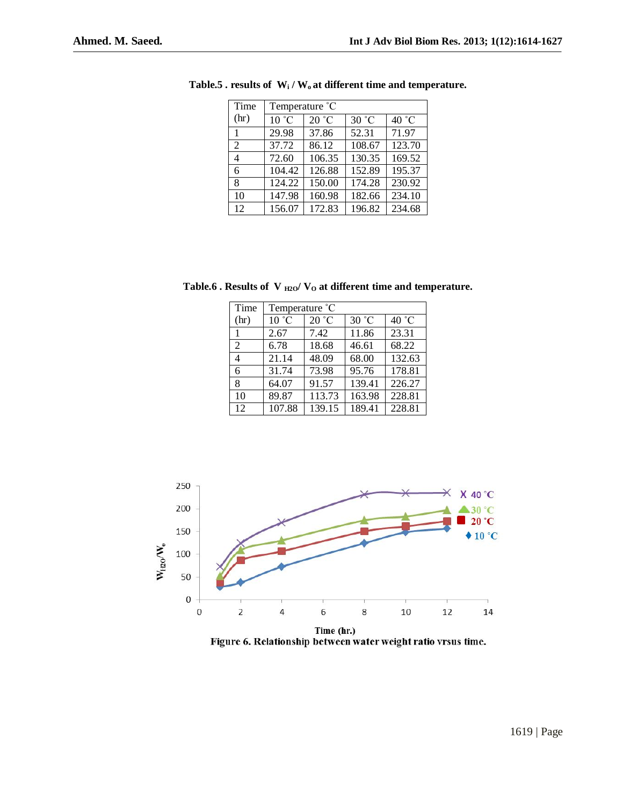| Time | Temperature °C |        |        |        |  |
|------|----------------|--------|--------|--------|--|
| (hr) | 10 °C          | 20 °C  | 30 °C  | 40 °C  |  |
| 1    | 29.98          | 37.86  | 52.31  | 71.97  |  |
| 2    | 37.72          | 86.12  | 108.67 | 123.70 |  |
| 4    | 72.60          | 106.35 | 130.35 | 169.52 |  |
| 6    | 104.42         | 126.88 | 152.89 | 195.37 |  |
| 8    | 124.22         | 150.00 | 174.28 | 230.92 |  |
| 10   | 147.98         | 160.98 | 182.66 | 234.10 |  |
| 12   | 156.07         | 172.83 | 196.82 | 234.68 |  |

**Table.5 . results of W<sup>i</sup> / Wo at different time and temperature.**

Table.6 **.** Results of V  $_{\text{H2O}}$ / V<sub>O</sub> at different time and temperature.

| Time | Temperature °C |        |        |        |  |
|------|----------------|--------|--------|--------|--|
| (hr) | 10 °C          | 20 °C  | 30 °C  | 40 °C  |  |
|      | 2.67           | 7.42   | 11.86  | 23.31  |  |
| 2    | 6.78           | 18.68  | 46.61  | 68.22  |  |
| 4    | 21.14          | 48.09  | 68.00  | 132.63 |  |
| 6    | 31.74          | 73.98  | 95.76  | 178.81 |  |
| 8    | 64.07          | 91.57  | 139.41 | 226.27 |  |
| 10   | 89.87          | 113.73 | 163.98 | 228.81 |  |
| 12   | 107.88         | 139.15 | 189.41 | 228.81 |  |



Figure 6. Relationship between water weight ratio vrsus time.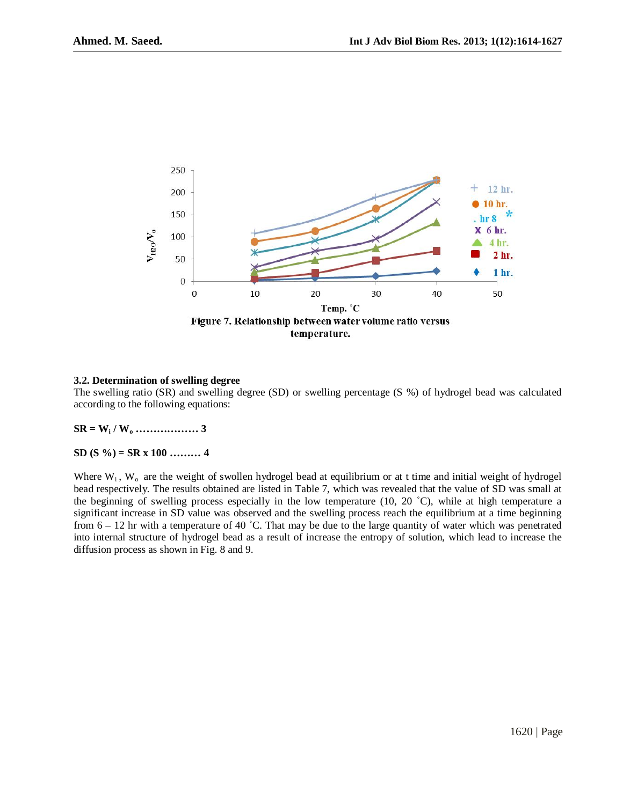

#### **3.2. Determination of swelling degree**

The swelling ratio (SR) and swelling degree (SD) or swelling percentage (S %) of hydrogel bead was calculated according to the following equations:

**SR = W<sup>i</sup> / W<sup>o</sup> ……………… 3**

#### **SD (S %) = SR x 100 ……… 4**

Where  $W_i$ ,  $W_o$  are the weight of swollen hydrogel bead at equilibrium or at t time and initial weight of hydrogel bead respectively. The results obtained are listed in Table 7, which was revealed that the value of SD was small at the beginning of swelling process especially in the low temperature (10, 20 ˚C), while at high temperature a significant increase in SD value was observed and the swelling process reach the equilibrium at a time beginning from  $6 - 12$  hr with a temperature of 40 °C. That may be due to the large quantity of water which was penetrated into internal structure of hydrogel bead as a result of increase the entropy of solution, which lead to increase the diffusion process as shown in Fig. 8 and 9.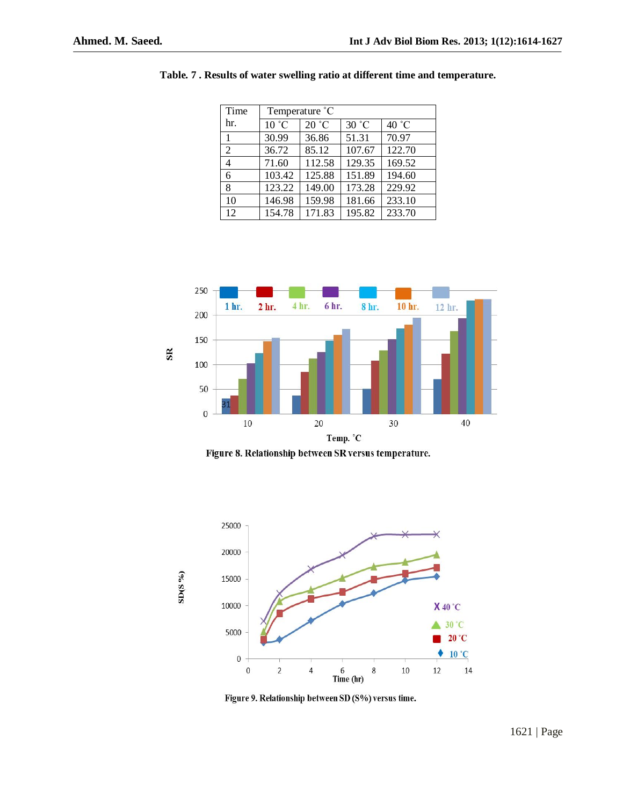| Time           | Temperature °C |        |        |                 |  |
|----------------|----------------|--------|--------|-----------------|--|
| hr.            | 10 °C          | 20 °C  | 30 °C  | 40 $^{\circ}$ C |  |
| 1              | 30.99          | 36.86  | 51.31  | 70.97           |  |
| $\overline{c}$ | 36.72          | 85.12  | 107.67 | 122.70          |  |
| 4              | 71.60          | 112.58 | 129.35 | 169.52          |  |
| 6              | 103.42         | 125.88 | 151.89 | 194.60          |  |
| 8              | 123.22         | 149.00 | 173.28 | 229.92          |  |
| 10             | 146.98         | 159.98 | 181.66 | 233.10          |  |
| 12             | 154.78         | 171.83 | 195.82 | 233.70          |  |

**Table. 7 . Results of water swelling ratio at different time and temperature.**



Figure 8. Relationship between SR versus temperature.



Figure 9. Relationship between SD (S%) versus time.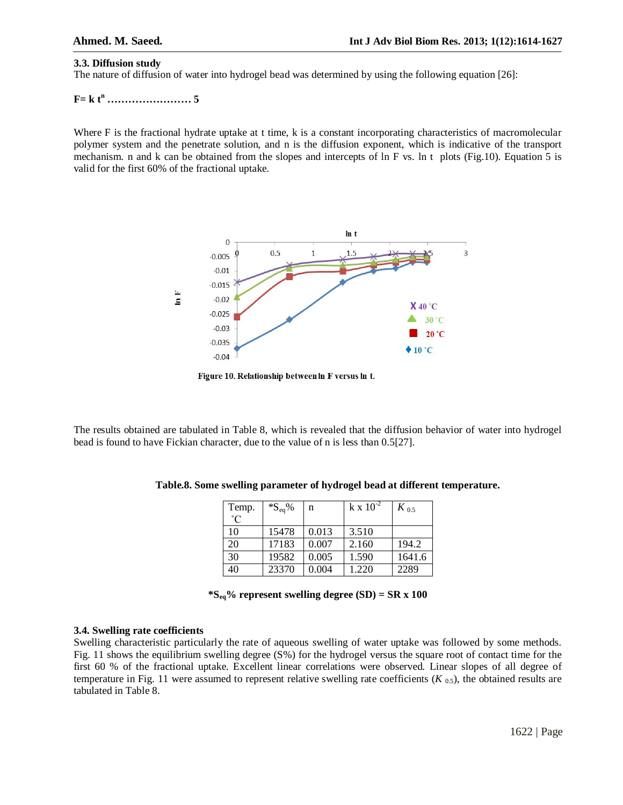#### **3.3. Diffusion study**

The nature of diffusion of water into hydrogel bead was determined by using the following equation [26]:

**F= k t<sup>n</sup> …………………… 5**

Where F is the fractional hydrate uptake at t time, k is a constant incorporating characteristics of macromolecular polymer system and the penetrate solution, and n is the diffusion exponent, which is indicative of the transport mechanism. n and k can be obtained from the slopes and intercepts of ln F vs. ln t plots (Fig.10). Equation 5 is valid for the first 60% of the fractional uptake.



Figure 10. Relationship between In F versus In t.

The results obtained are tabulated in Table 8, which is revealed that the diffusion behavior of water into hydrogel bead is found to have Fickian character, due to the value of n is less than 0.5[27].

| Temp.       | $^*S_{eq}\%$ | n     | $k \times 10^{-2}$ | $K_{0,5}$ |
|-------------|--------------|-------|--------------------|-----------|
| $^{\circ}C$ |              |       |                    |           |
| 10          | 15478        | 0.013 | 3.510              |           |
| 20          | 17183        | 0.007 | 2.160              | 194.2     |
| 30          | 19582        | 0.005 | 1.590              | 1641.6    |
| 40          | 23370        | 0.004 | 1.220              | 2289      |

**Table.8. Some swelling parameter of hydrogel bead at different temperature.**

**\*Seq% represent swelling degree (SD) = SR x 100**

#### **3.4. Swelling rate coefficients**

Swelling characteristic particularly the rate of aqueous swelling of water uptake was followed by some methods. Fig. 11 shows the equilibrium swelling degree (S%) for the hydrogel versus the square root of contact time for the first 60 % of the fractional uptake. Excellent linear correlations were observed. Linear slopes of all degree of temperature in Fig. 11 were assumed to represent relative swelling rate coefficients  $(K_{0.5})$ , the obtained results are tabulated in Table 8.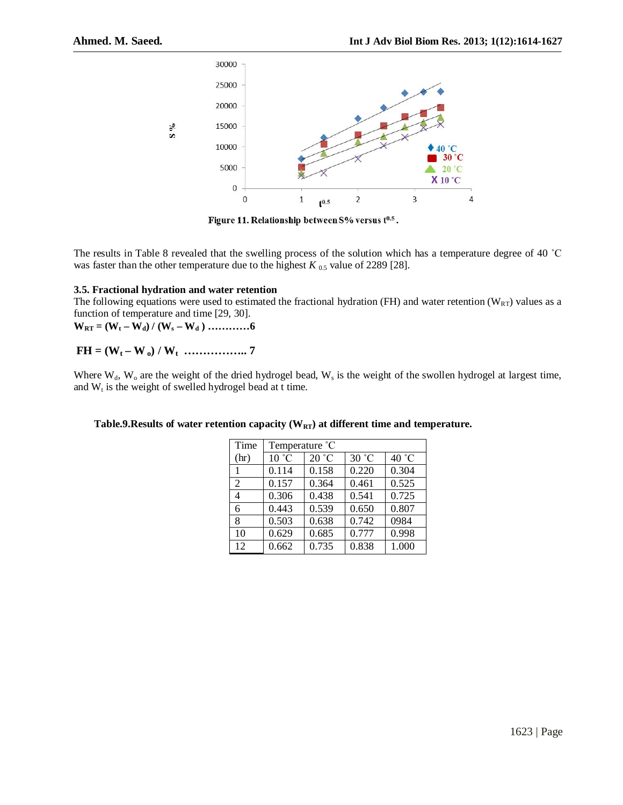

Figure 11. Relationship between S% versus t<sup>0.5</sup>.

The results in Table 8 revealed that the swelling process of the solution which has a temperature degree of 40 ˚C was faster than the other temperature due to the highest  $K_{0.5}$  value of 2289 [28].

#### **3.5. Fractional hydration and water retention**

The following equations were used to estimated the fractional hydration (FH) and water retention ( $W_{RT}$ ) values as a function of temperature and time [29, 30].

 $W_{RT} = (W_t - W_d) / (W_s - W_d)$  …………6

## **FH = (W<sup>t</sup> – W <sup>o</sup>) / W<sup>t</sup> …………….. 7**

Where  $W_d$ ,  $W_o$  are the weight of the dried hydrogel bead,  $W_s$  is the weight of the swollen hydrogel at largest time, and  $W_t$  is the weight of swelled hydrogel bead at t time.

#### **Table.9.Results of water retention capacity (WRT) at different time and temperature.**

| Time | Temperature °C |       |       |       |  |
|------|----------------|-------|-------|-------|--|
| (hr) | 10 °C          | 20 °C | 30 °C | 40 °C |  |
|      | 0.114          | 0.158 | 0.220 | 0.304 |  |
| 2    | 0.157          | 0.364 | 0.461 | 0.525 |  |
| 4    | 0.306          | 0.438 | 0.541 | 0.725 |  |
| 6    | 0.443          | 0.539 | 0.650 | 0.807 |  |
| 8    | 0.503          | 0.638 | 0.742 | 0984  |  |
| 10   | 0.629          | 0.685 | 0.777 | 0.998 |  |
| 12   | 0.662          | 0.735 | 0.838 | 1.000 |  |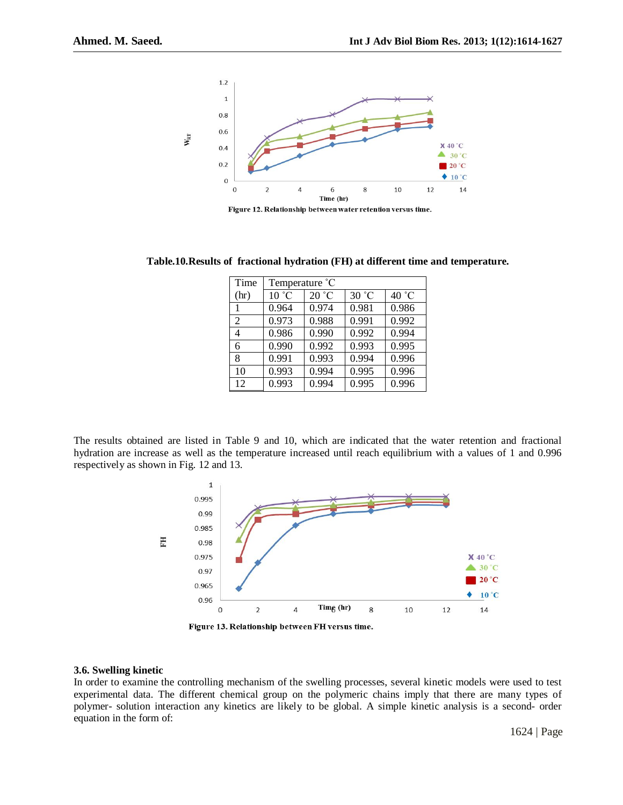

Figure 12. Relationship between water retention versus time.

**Table.10.Results of fractional hydration (FH) at different time and temperature.**

| Time           | Temperature °C |       |       |       |  |
|----------------|----------------|-------|-------|-------|--|
| (hr)           | 10 °C          | 20 °C | 30 °C | 40 °C |  |
|                | 0.964          | 0.974 | 0.981 | 0.986 |  |
| $\overline{c}$ | 0.973          | 0.988 | 0.991 | 0.992 |  |
| 4              | 0.986          | 0.990 | 0.992 | 0.994 |  |
| 6              | 0.990          | 0.992 | 0.993 | 0.995 |  |
| 8              | 0.991          | 0.993 | 0.994 | 0.996 |  |
| 10             | 0.993          | 0.994 | 0.995 | 0.996 |  |
| 12             | 0.993          | 0.994 | 0.995 | 0.996 |  |

The results obtained are listed in Table 9 and 10, which are indicated that the water retention and fractional hydration are increase as well as the temperature increased until reach equilibrium with a values of 1 and 0.996 respectively as shown in Fig. 12 and 13.



#### **3.6. Swelling kinetic**

In order to examine the controlling mechanism of the swelling processes, several kinetic models were used to test experimental data. The different chemical group on the polymeric chains imply that there are many types of polymer- solution interaction any kinetics are likely to be global. A simple kinetic analysis is a second- order equation in the form of: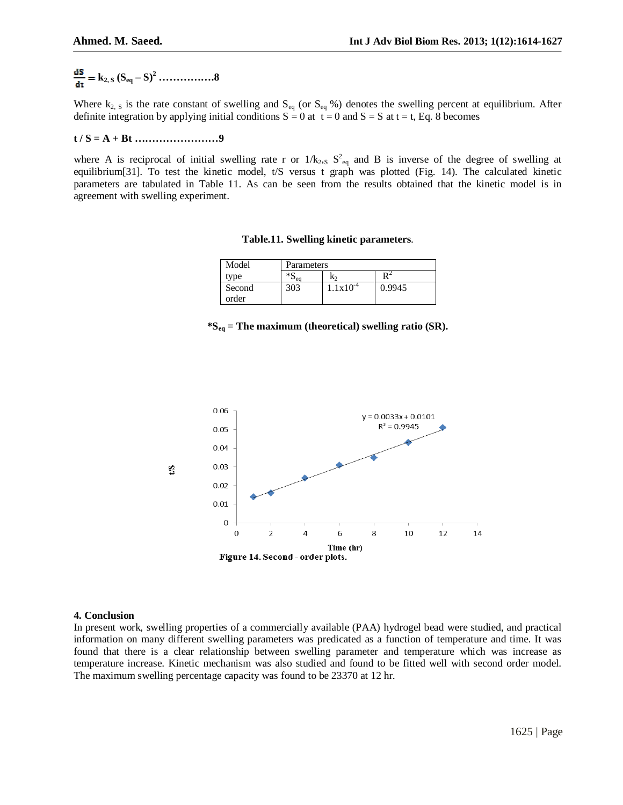# $\frac{d\mathbf{S}}{d\mathbf{t}} = \mathbf{k}_{2, \text{S}} (\mathbf{S}_{\text{eq}} - \mathbf{S})^2 \dots$

Where  $k_{2, S}$  is the rate constant of swelling and  $S_{eq}$  (or  $S_{eq}$ %) denotes the swelling percent at equilibrium. After definite integration by applying initial conditions  $S = 0$  at  $t = 0$  and  $S = S$  at  $t = t$ , Eq. 8 becomes

#### **t / S = A + Bt ……………………9**

where A is reciprocal of initial swelling rate r or  $1/k_{2,5}$   $S_{eq}^2$  and B is inverse of the degree of swelling at equilibrium[31]. To test the kinetic model, t/S versus t graph was plotted (Fig. 14). The calculated kinetic parameters are tabulated in Table 11. As can be seen from the results obtained that the kinetic model is in agreement with swelling experiment.

#### **Table.11. Swelling kinetic parameters**.

| Model           | Parameters         |                      |        |  |  |
|-----------------|--------------------|----------------------|--------|--|--|
| type            | $*$ C<br>K2<br>∍ea |                      |        |  |  |
| Second<br>order | 303                | $1.1 \times 10^{-4}$ | 0.9945 |  |  |

**\*Seq = The maximum (theoretical) swelling ratio (SR).**



#### **4. Conclusion**

In present work, swelling properties of a commercially available (PAA) hydrogel bead were studied, and practical information on many different swelling parameters was predicated as a function of temperature and time. It was found that there is a clear relationship between swelling parameter and temperature which was increase as temperature increase. Kinetic mechanism was also studied and found to be fitted well with second order model. The maximum swelling percentage capacity was found to be 23370 at 12 hr.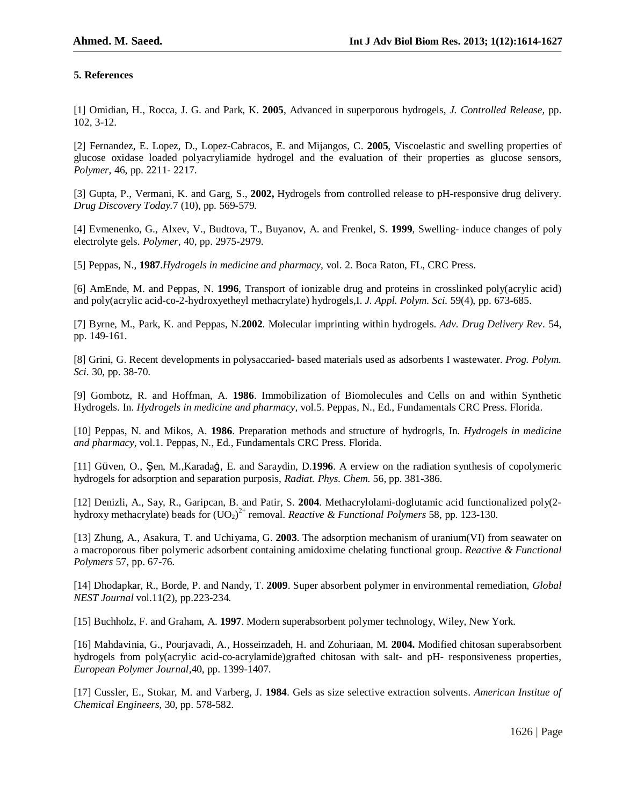## **5. References**

[1] Omidian, H., Rocca, J. G. and Park, K. **2005**, Advanced in superporous hydrogels, *J. Controlled Release,* pp. 102, 3-12.

[2] Fernandez, E. Lopez, D., Lopez-Cabracos, E. and Mijangos, C. **2005**, Viscoelastic and swelling properties of glucose oxidase loaded polyacryliamide hydrogel and the evaluation of their properties as glucose sensors, *Polymer*, 46, pp. 2211- 2217.

[3] Gupta, P., Vermani, K. and Garg, S., **2002,** Hydrogels from controlled release to pH-responsive drug delivery. *Drug Discovery Today*.7 (10), pp. 569-579.

[4] Evmenenko, G., Alxev, V., Budtova, T., Buyanov, A. and Frenkel, S. **1999**, Swelling- induce changes of poly electrolyte gels. *Polymer*, 40, pp. 2975-2979.

[5] Peppas, N., **1987**.*Hydrogels in medicine and pharmacy,* vol. 2. Boca Raton, FL, CRC Press.

[6] AmEnde, M. and Peppas, N. **1996**, Transport of ionizable drug and proteins in crosslinked poly(acrylic acid) and poly(acrylic acid-co-2-hydroxyetheyl methacrylate) hydrogels*,*I. *J. Appl. Polym. Sci.* 59(4), pp. 673-685.

[7] Byrne, M., Park, K. and Peppas, N.**2002**. Molecular imprinting within hydrogels. *Adv. Drug Delivery Rev*. 54, pp. 149-161.

[8] Grini, G. Recent developments in polysaccaried- based materials used as adsorbents I wastewater. *Prog. Polym. Sci*. 30, pp. 38-70.

[9] Gombotz, R. and Hoffman, A. **1986**. Immobilization of Biomolecules and Cells on and within Synthetic Hydrogels. In. *Hydrogels in medicine and pharmacy,* vol.5. Peppas, N., Ed., Fundamentals CRC Press. Florida.

[10] Peppas, N. and Mikos, A. **1986**. Preparation methods and structure of hydrogrls, In. *Hydrogels in medicine and pharmacy,* vol.1. Peppas, N., Ed., Fundamentals CRC Press. Florida.

[11] Güven, O., Şen, M.,Karadaġ, E. and Saraydin, D.**1996**. A erview on the radiation synthesis of copolymeric hydrogels for adsorption and separation purposis, *Radiat. Phys. Chem.* 56, pp. 381-386.

[12] Denizli, A., Say, R., Garipcan, B. and Patir, S. **2004**. Methacrylolami-doglutamic acid functionalized poly(2 hydroxy methacrylate) beads for  $(UO_2)^{2+}$  removal. *Reactive & Functional Polymers* 58, pp. 123-130.

[13] Zhung, A., Asakura, T. and Uchiyama, G. **2003**. The adsorption mechanism of uranium(VI) from seawater on a macroporous fiber polymeric adsorbent containing amidoxime chelating functional group. *Reactive & Functional Polymers* 57, pp. 67-76.

[14] Dhodapkar, R., Borde, P. and Nandy, T. **2009**. Super absorbent polymer in environmental remediation, *Global NEST Journal* vol.11(2), pp.223-234.

[15] Buchholz, F. and Graham, A. **1997**. Modern superabsorbent polymer technology, Wiley, New York.

[16] Mahdavinia, G., Pourjavadi, A., Hosseinzadeh, H. and Zohuriaan, M. **2004.** Modified chitosan superabsorbent hydrogels from poly(acrylic acid-co-acrylamide)grafted chitosan with salt- and pH- responsiveness properties, *European Polymer Journal,*40, pp. 1399-1407.

[17] Cussler, E., Stokar, M. and Varberg, J. **1984**. Gels as size selective extraction solvents. *American Institue of Chemical Engineers,* 30, pp. 578-582.